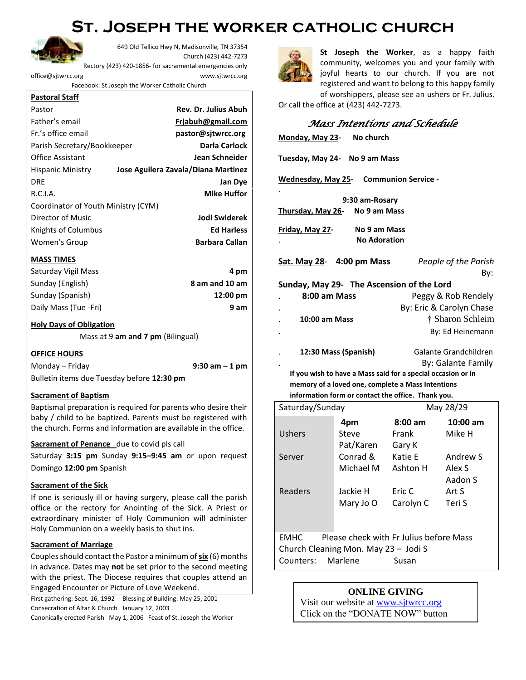## **St. Joseph the worker catholic church**



649 Old Tellico Hwy N, Madisonville, TN 37354 Church (423) 442-7273 Rectory (423) 420-1856- for sacramental emergencies only [office@sjtwrcc.org](mailto:office@sjtwrcc.org) www.sjtwrcc.org

Facebook: St Joseph the Worker Catholic Church

| Pastor                              | <b>Rev. Dr. Julius Abuh</b>         |
|-------------------------------------|-------------------------------------|
| Father's email                      | Friabuh@gmail.com                   |
| Fr.'s office email                  | pastor@sitwrcc.org                  |
| Parish Secretary/Bookkeeper         | <b>Darla Carlock</b>                |
| <b>Office Assistant</b>             | Jean Schneider                      |
| <b>Hispanic Ministry</b>            | Jose Aguilera Zavala/Diana Martinez |
| <b>DRE</b>                          | <b>Jan Dye</b>                      |
| R.C.I.A.                            | <b>Mike Huffor</b>                  |
| Coordinator of Youth Ministry (CYM) |                                     |
| Director of Music                   | Jodi Swiderek                       |
| Knights of Columbus                 | <b>Ed Harless</b>                   |
| Women's Group                       | <b>Barbara Callan</b>               |

#### **MASS TIMES**

| Saturday Vigil Mass   | 4 pm               |
|-----------------------|--------------------|
| Sunday (English)      | 8 am and 10 am     |
| Sunday (Spanish)      | $12:00 \text{ pm}$ |
| Daily Mass (Tue -Fri) | 9 am               |

#### **Holy Days of Obligation**

Mass at 9 **am and 7 pm** (Bilingual)

#### **OFFICE HOURS**

Monday – Friday **9:30 am – 1 pm** Bulletin items due Tuesday before **12:30 pm**

#### **Sacrament of Baptism**

Baptismal preparation is required for parents who desire their baby / child to be baptized. Parents must be registered with the church. Forms and information are available in the office.

#### **Sacrament of Penance** due to covid pls call

Saturday **3:15 pm** Sunday **9:15–9:45 am** or upon request Domingo **12:00 pm** Spanish

#### **Sacrament of the Sick**

If one is seriously ill or having surgery, please call the parish office or the rectory for Anointing of the Sick. A Priest or extraordinary minister of Holy Communion will administer Holy Communion on a weekly basis to shut ins.

#### **Sacrament of Marriage**

Couples should contact the Pastor a minimum of **six** (6) months in advance. Dates may **not** be set prior to the second meeting with the priest. The Diocese requires that couples attend an Engaged Encounter or Picture of Love Weekend.

First gathering: Sept. 16, 1992 Blessing of Building: May 25, 2001 Consecration of Altar & Church January 12, 2003

Canonically erected Parish May 1, 2006 Feast of St. Joseph the Worker



**St Joseph the Worker**, as a happy faith community, welcomes you and your family with joyful hearts to our church. If you are not registered and want to belong to this happy family of worshippers, please see an ushers or Fr. Julius.

Or call the office at (423) 442-7273.

| Mass Intentions and Schedule |
|------------------------------|
|------------------------------|

| No church<br>Monday, May 23-                                                                                                                                                             |                                                    |                   |                          |  |  |  |
|------------------------------------------------------------------------------------------------------------------------------------------------------------------------------------------|----------------------------------------------------|-------------------|--------------------------|--|--|--|
| Tuesday, May 24- No 9 am Mass                                                                                                                                                            |                                                    |                   |                          |  |  |  |
| Wednesday, May 25- Communion Service -                                                                                                                                                   |                                                    |                   |                          |  |  |  |
| 9:30 am-Rosary<br>No 9 am Mass<br>Thursday, May 26-                                                                                                                                      |                                                    |                   |                          |  |  |  |
| Friday, May 27-<br>No 9 am Mass<br><b>No Adoration</b>                                                                                                                                   |                                                    |                   |                          |  |  |  |
| Sat. May 28- 4:00 pm Mass<br>People of the Parish<br>By:                                                                                                                                 |                                                    |                   |                          |  |  |  |
| Sunday, May 29- The Ascension of the Lord                                                                                                                                                |                                                    |                   |                          |  |  |  |
| 8:00 am Mass                                                                                                                                                                             |                                                    |                   | Peggy & Rob Rendely      |  |  |  |
|                                                                                                                                                                                          |                                                    |                   | By: Eric & Carolyn Chase |  |  |  |
| <b>10:00 am Mass</b>                                                                                                                                                                     |                                                    |                   | † Sharon Schleim         |  |  |  |
|                                                                                                                                                                                          |                                                    |                   | By: Ed Heinemann         |  |  |  |
| 12:30 Mass (Spanish)<br>Galante Grandchildren<br>By: Galante Family<br>If you wish to have a Mass said for a special occasion or in<br>memory of a loved one, complete a Mass Intentions |                                                    |                   |                          |  |  |  |
|                                                                                                                                                                                          | information form or contact the office. Thank you. |                   |                          |  |  |  |
| Saturday/Sunday                                                                                                                                                                          |                                                    |                   | May 28/29                |  |  |  |
|                                                                                                                                                                                          | 4pm                                                | $8:00 \text{ am}$ | 10:00 am                 |  |  |  |
| Ushers                                                                                                                                                                                   | Steve                                              | Frank             | Mike H                   |  |  |  |
|                                                                                                                                                                                          | Pat/Karen                                          | Gary K            |                          |  |  |  |
| Server                                                                                                                                                                                   | Conrad &                                           | Katie E           | Andrew S                 |  |  |  |
|                                                                                                                                                                                          | Michael M Ashton H                                 |                   | Alex S                   |  |  |  |
|                                                                                                                                                                                          |                                                    |                   | Aadon S                  |  |  |  |
| Readers                                                                                                                                                                                  | Jackie H                                           | Eric C            | Art S                    |  |  |  |
|                                                                                                                                                                                          | Mary Jo O                                          | Carolyn C         | Teri S                   |  |  |  |
| Please check with Fr Julius before Mass<br>EMHC<br>Church Cleaning Mon. May 23 - Jodi S<br>Marlene<br>Counters:<br>Susan                                                                 |                                                    |                   |                          |  |  |  |

#### **ONLINE GIVING**

Visit our website at [www.sjtwrcc.org](http://www.sjtwrcc.org/) Click on the "DONATE NOW" button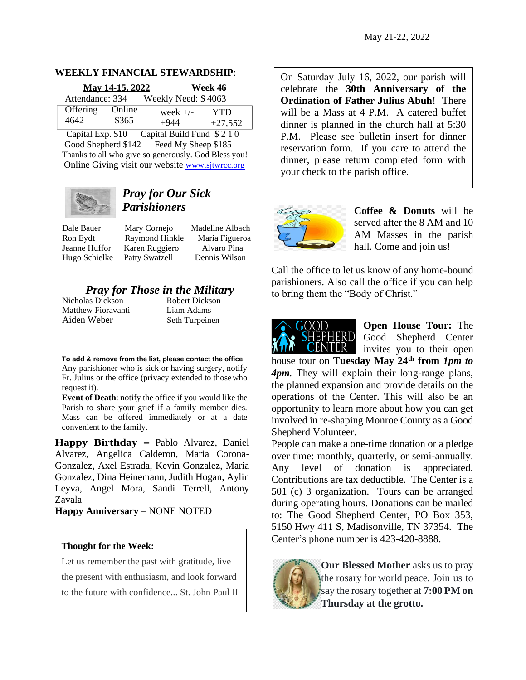#### **WEEKLY FINANCIAL STEWARDSHIP**:

| May 14-15, 2022 |        | Week 46             |           |
|-----------------|--------|---------------------|-----------|
| Attendance: 334 |        | Weekly Need: \$4063 |           |
| Offering        | Online | week $+/-$          | YTD       |
| 4642            | \$365  | $+944$              | $+27,552$ |

Capital Exp. \$10 Capital Build Fund \$ 2 1 0 Good Shepherd \$142 Feed My Sheep \$185 Thanks to all who give so generously. God Bless you! Online Giving visit our website [www.sjtwrcc.org](http://www.sjtwrcc.org/)



## *Pray for Our Sick Parishioners*

Dale Bauer Mary Cornejo Madeline Albach Ron Eydt Raymond Hinkle Maria Figueroa Jeanne Huffor Karen Ruggiero Alvaro Pina Hugo Schielke Patty Swatzell Dennis Wilson

# *Pray for Those in the Military*<br>las Dickson **Robert Dickson**

Nicholas Dickson Matthew Fioravanti Liam Adams Aiden Weber Seth Turpeinen

**To add & remove from the list, please contact the office** Any parishioner who is sick or having surgery, notify Fr. Julius or the office (privacy extended to thosewho request it).

**Event of Death**: notify the office if you would like the Parish to share your grief if a family member dies. Mass can be offered immediately or at a date convenient to the family.

**Happy Birthday –** Pablo Alvarez, Daniel Alvarez, Angelica Calderon, Maria Corona-Gonzalez, Axel Estrada, Kevin Gonzalez, Maria Gonzalez, Dina Heinemann, Judith Hogan, Aylin Leyva, Angel Mora, Sandi Terrell, Antony Zavala

**Happy Anniversary –** NONE NOTED

#### **Thought for the Week:**

[Let us remember the past with gratitude, live](https://www.azquotes.com/quote/872735)  [the present with enthusiasm, and look forward](https://www.azquotes.com/quote/872735)  [to the future with confidence..](https://www.azquotes.com/quote/872735). St. John Paul II On Saturday July 16, 2022, our parish will celebrate the **30th Anniversary of the Ordination of Father Julius Abuh**! There will be a Mass at 4 P.M. A catered buffet dinner is planned in the church hall at 5:30 P.M. Please see bulletin insert for dinner reservation form. If you care to attend the dinner, please return completed form with your check to the parish office.



**Coffee & Donuts** will be served after the 8 AM and 10 AM Masses in the parish hall. Come and join us!

Call the office to let us know of any home-bound parishioners. Also call the office if you can help to bring them the "Body of Christ."



**Open House Tour:** The Good Shepherd Center invites you to their open

house tour on **Tuesday May 24th from** *1pm to 4pm.* They will explain their long-range plans, the planned expansion and provide details on the operations of the Center. This will also be an opportunity to learn more about how you can get involved in re-shaping Monroe County as a Good Shepherd Volunteer.

People can make a one-time donation or a pledge over time: monthly, quarterly, or semi-annually. Any level of donation is appreciated. Contributions are tax deductible. The Center is a 501 (c) 3 organization. Tours can be arranged during operating hours. Donations can be mailed to: The Good Shepherd Center, PO Box 353, 5150 Hwy 411 S, Madisonville, TN 37354. The Center's phone number is 423-420-8888.



**Our Blessed Mother** asks us to pray the rosary for world peace. Join us to say the rosary together at **7:00 PM on Thursday at the grotto.**